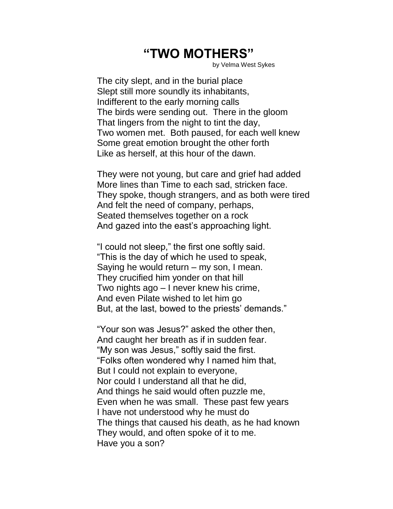## **"TWO MOTHERS"**

by Velma West Sykes

The city slept, and in the burial place Slept still more soundly its inhabitants, Indifferent to the early morning calls The birds were sending out. There in the gloom That lingers from the night to tint the day, Two women met. Both paused, for each well knew Some great emotion brought the other forth Like as herself, at this hour of the dawn.

They were not young, but care and grief had added More lines than Time to each sad, stricken face. They spoke, though strangers, and as both were tired And felt the need of company, perhaps, Seated themselves together on a rock And gazed into the east's approaching light.

"I could not sleep," the first one softly said. "This is the day of which he used to speak, Saying he would return – my son, I mean. They crucified him yonder on that hill Two nights ago – I never knew his crime, And even Pilate wished to let him go But, at the last, bowed to the priests' demands."

"Your son was Jesus?" asked the other then, And caught her breath as if in sudden fear. "My son was Jesus," softly said the first. "Folks often wondered why I named him that, But I could not explain to everyone, Nor could I understand all that he did, And things he said would often puzzle me, Even when he was small. These past few years I have not understood why he must do The things that caused his death, as he had known They would, and often spoke of it to me. Have you a son?